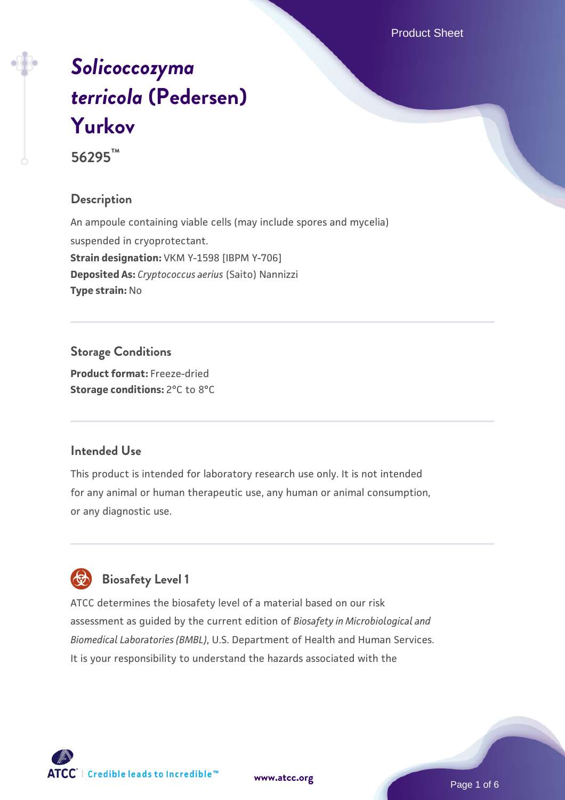Product Sheet

# *[Solicoccozyma](https://www.atcc.org/products/56295) [terricola](https://www.atcc.org/products/56295)* **[\(Pedersen\)](https://www.atcc.org/products/56295) [Yurkov](https://www.atcc.org/products/56295)**

**56295™**

#### **Description**

An ampoule containing viable cells (may include spores and mycelia) suspended in cryoprotectant. **Strain designation:** VKM Y-1598 [IBPM Y-706] **Deposited As:** *Cryptococcus aerius* (Saito) Nannizzi **Type strain:** No

# **Storage Conditions**

**Product format:** Freeze-dried **Storage conditions:** 2°C to 8°C

#### **Intended Use**

This product is intended for laboratory research use only. It is not intended for any animal or human therapeutic use, any human or animal consumption, or any diagnostic use.

# **Biosafety Level 1**

ATCC determines the biosafety level of a material based on our risk assessment as guided by the current edition of *Biosafety in Microbiological and Biomedical Laboratories (BMBL)*, U.S. Department of Health and Human Services. It is your responsibility to understand the hazards associated with the



**[www.atcc.org](http://www.atcc.org)**

Page 1 of 6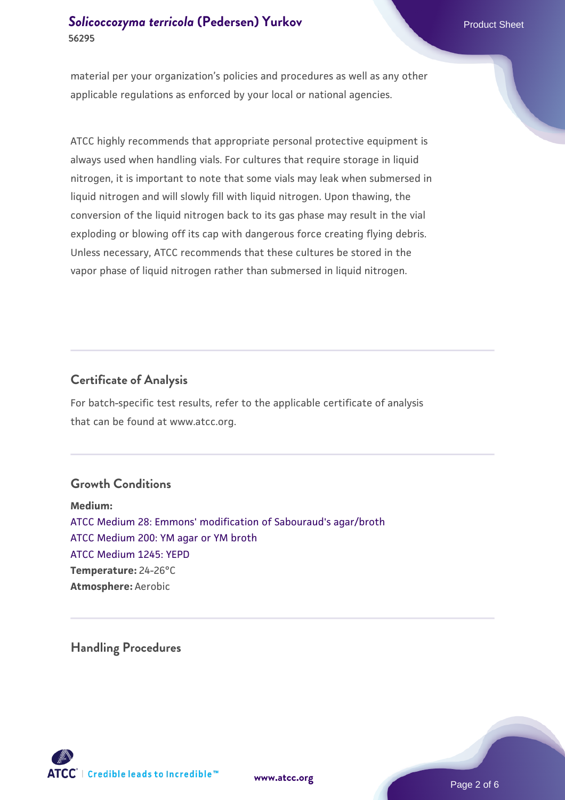# **[Solicoccozyma terricola](https://www.atcc.org/products/56295) [\(Pedersen\) Yurkov](https://www.atcc.org/products/56295) Product Sheet Product Sheet Product Sheet 56295**

material per your organization's policies and procedures as well as any other applicable regulations as enforced by your local or national agencies.

ATCC highly recommends that appropriate personal protective equipment is always used when handling vials. For cultures that require storage in liquid nitrogen, it is important to note that some vials may leak when submersed in liquid nitrogen and will slowly fill with liquid nitrogen. Upon thawing, the conversion of the liquid nitrogen back to its gas phase may result in the vial exploding or blowing off its cap with dangerous force creating flying debris. Unless necessary, ATCC recommends that these cultures be stored in the vapor phase of liquid nitrogen rather than submersed in liquid nitrogen.

#### **Certificate of Analysis**

For batch-specific test results, refer to the applicable certificate of analysis that can be found at www.atcc.org.

#### **Growth Conditions**

**Medium:**  [ATCC Medium 28: Emmons' modification of Sabouraud's agar/broth](https://www.atcc.org/-/media/product-assets/documents/microbial-media-formulations/2/8/atcc-medium-28.pdf?rev=0da0c58cc2a343eeae735016b70809bb) [ATCC Medium 200: YM agar or YM broth](https://www.atcc.org/-/media/product-assets/documents/microbial-media-formulations/2/0/0/atcc-medium-200.pdf?rev=ac40fd74dc13433a809367b0b9da30fc) [ATCC Medium 1245: YEPD](https://www.atcc.org/-/media/product-assets/documents/microbial-media-formulations/1/2/4/5/atcc-medium-1245.pdf?rev=705ca55d1b6f490a808a965d5c072196) **Temperature:** 24-26°C **Atmosphere:** Aerobic

**Handling Procedures**



**[www.atcc.org](http://www.atcc.org)**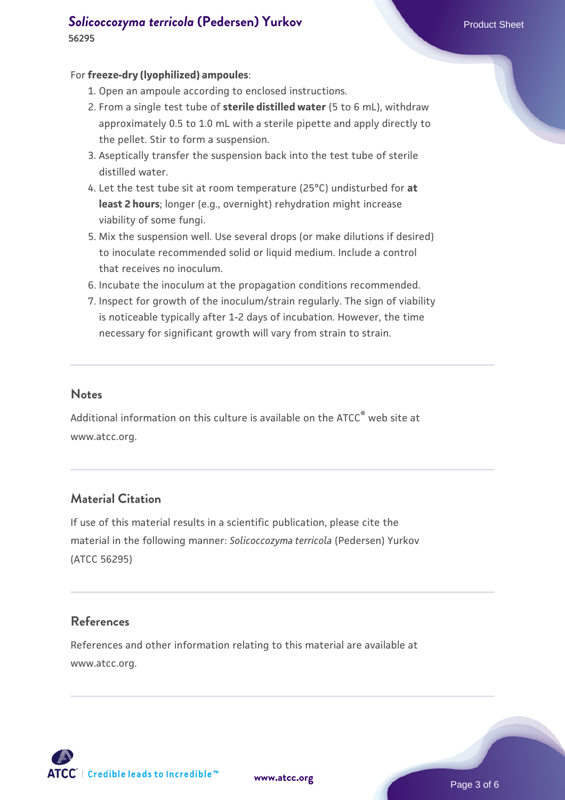#### **[Solicoccozyma terricola](https://www.atcc.org/products/56295) [\(Pedersen\) Yurkov](https://www.atcc.org/products/56295) Product Sheet Product Sheet Product Sheet 56295**

#### For **freeze-dry (lyophilized) ampoules**:

- 1. Open an ampoule according to enclosed instructions.
- 2. From a single test tube of **sterile distilled water** (5 to 6 mL), withdraw approximately 0.5 to 1.0 mL with a sterile pipette and apply directly to the pellet. Stir to form a suspension.
- 3. Aseptically transfer the suspension back into the test tube of sterile distilled water.
- Let the test tube sit at room temperature (25°C) undisturbed for **at** 4. **least 2 hours**; longer (e.g., overnight) rehydration might increase viability of some fungi.
- Mix the suspension well. Use several drops (or make dilutions if desired) 5. to inoculate recommended solid or liquid medium. Include a control that receives no inoculum.
- 6. Incubate the inoculum at the propagation conditions recommended.
- 7. Inspect for growth of the inoculum/strain regularly. The sign of viability is noticeable typically after 1-2 days of incubation. However, the time necessary for significant growth will vary from strain to strain.

#### **Notes**

Additional information on this culture is available on the ATCC® web site at www.atcc.org.

# **Material Citation**

If use of this material results in a scientific publication, please cite the material in the following manner: *Solicoccozyma terricola* (Pedersen) Yurkov (ATCC 56295)

### **References**

References and other information relating to this material are available at www.atcc.org.



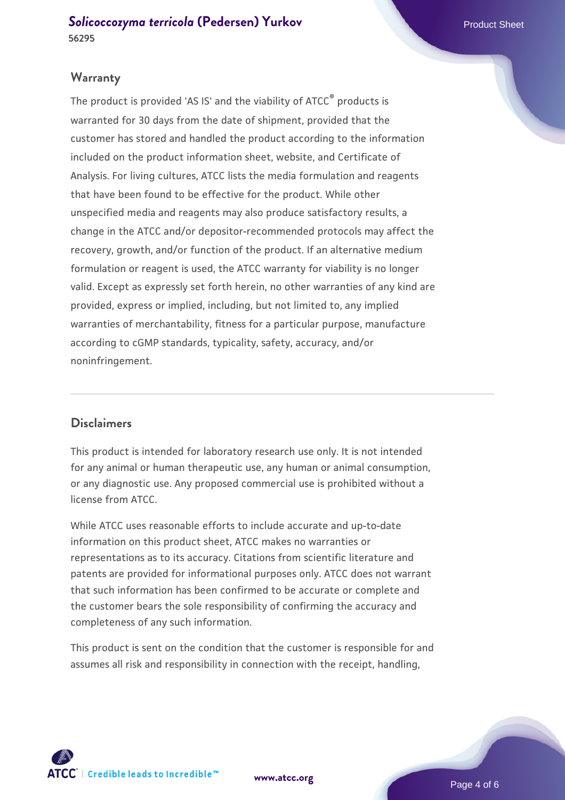**[Solicoccozyma terricola](https://www.atcc.org/products/56295) [\(Pedersen\) Yurkov](https://www.atcc.org/products/56295) Product Sheet Product Sheet 56295**

#### **Warranty**

The product is provided 'AS IS' and the viability of ATCC® products is warranted for 30 days from the date of shipment, provided that the customer has stored and handled the product according to the information included on the product information sheet, website, and Certificate of Analysis. For living cultures, ATCC lists the media formulation and reagents that have been found to be effective for the product. While other unspecified media and reagents may also produce satisfactory results, a change in the ATCC and/or depositor-recommended protocols may affect the recovery, growth, and/or function of the product. If an alternative medium formulation or reagent is used, the ATCC warranty for viability is no longer valid. Except as expressly set forth herein, no other warranties of any kind are provided, express or implied, including, but not limited to, any implied warranties of merchantability, fitness for a particular purpose, manufacture according to cGMP standards, typicality, safety, accuracy, and/or noninfringement.

# **Disclaimers**

This product is intended for laboratory research use only. It is not intended for any animal or human therapeutic use, any human or animal consumption, or any diagnostic use. Any proposed commercial use is prohibited without a license from ATCC.

While ATCC uses reasonable efforts to include accurate and up-to-date information on this product sheet, ATCC makes no warranties or representations as to its accuracy. Citations from scientific literature and patents are provided for informational purposes only. ATCC does not warrant that such information has been confirmed to be accurate or complete and the customer bears the sole responsibility of confirming the accuracy and completeness of any such information.

This product is sent on the condition that the customer is responsible for and assumes all risk and responsibility in connection with the receipt, handling,



**[www.atcc.org](http://www.atcc.org)**

Page 4 of 6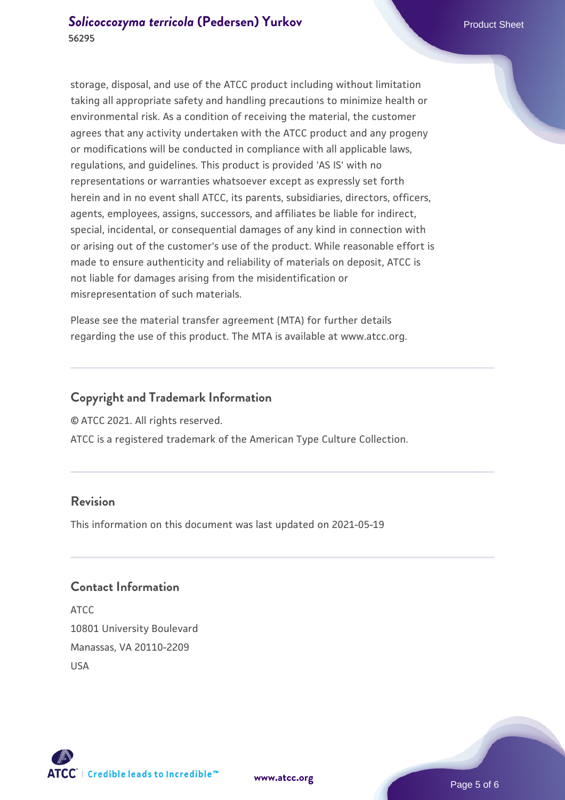storage, disposal, and use of the ATCC product including without limitation taking all appropriate safety and handling precautions to minimize health or environmental risk. As a condition of receiving the material, the customer agrees that any activity undertaken with the ATCC product and any progeny or modifications will be conducted in compliance with all applicable laws, regulations, and guidelines. This product is provided 'AS IS' with no representations or warranties whatsoever except as expressly set forth herein and in no event shall ATCC, its parents, subsidiaries, directors, officers, agents, employees, assigns, successors, and affiliates be liable for indirect, special, incidental, or consequential damages of any kind in connection with or arising out of the customer's use of the product. While reasonable effort is made to ensure authenticity and reliability of materials on deposit, ATCC is not liable for damages arising from the misidentification or misrepresentation of such materials.

Please see the material transfer agreement (MTA) for further details regarding the use of this product. The MTA is available at www.atcc.org.

# **Copyright and Trademark Information**

© ATCC 2021. All rights reserved.

ATCC is a registered trademark of the American Type Culture Collection.

# **Revision**

This information on this document was last updated on 2021-05-19

### **Contact Information**

ATCC 10801 University Boulevard Manassas, VA 20110-2209 USA